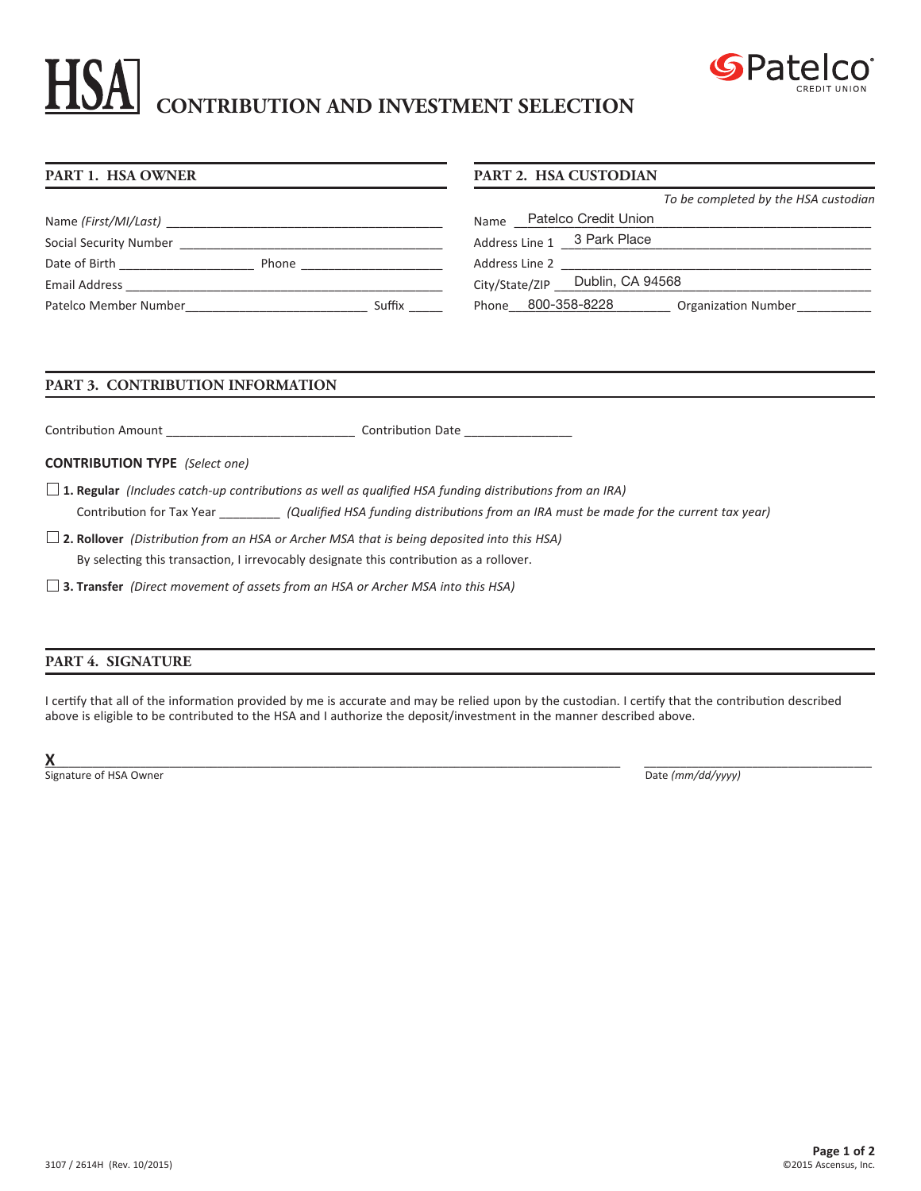# **CONTRIBUTION AND INVESTMENT SELECTION**



#### **PART 1. HSA OWNER** Name *(First/MI/Last)* Social Security Number \_\_\_\_\_\_\_\_\_\_\_\_\_\_\_\_\_\_\_\_\_\_\_\_\_\_\_\_\_\_\_\_\_\_\_\_\_\_\_ Date of Birth \_\_\_\_\_\_\_\_\_\_\_\_\_\_\_\_\_\_\_\_ Phone \_\_\_\_\_\_\_\_\_\_\_\_\_\_\_\_\_\_\_\_\_ Email Address \_\_\_\_\_\_\_\_\_\_\_\_\_\_\_\_\_\_\_\_\_\_\_\_\_\_\_\_\_\_\_\_\_\_\_\_\_\_\_\_\_\_\_\_\_\_\_ Patelco Member Number\_\_\_\_\_\_\_\_\_\_\_\_\_\_\_\_\_\_\_\_\_\_\_\_\_\_\_ Suffix \_\_\_\_\_ **PART 2. HSA CUSTODIAN** *To be completed by the HSA custodian* Name \_\_\_\_\_\_\_\_\_\_\_\_\_\_\_\_\_\_\_\_\_\_\_\_\_\_\_\_\_\_\_\_\_\_\_\_\_\_\_\_\_\_\_\_\_\_\_\_\_\_\_\_\_ Patelco Credit Union Address Line 1 \_\_\_\_\_\_\_\_\_\_\_\_\_\_\_\_\_\_\_\_\_\_\_\_\_\_\_\_\_\_\_\_\_\_\_\_\_\_\_\_\_\_\_\_\_\_ 3 Park Place Address Line 2 \_\_ City/State/ZIP \_\_\_\_\_Dublin, CA 94568 Phone \_\_\_ 800-358-8228 \_\_\_\_\_\_\_\_\_\_ Organization Number \_\_\_\_\_\_\_\_\_\_\_\_\_

# **PART 3. CONTRIBUTION INFORMATION**

Contribution Amount \_\_\_\_\_\_\_\_\_\_\_\_\_\_\_\_\_\_\_\_\_\_\_\_\_\_\_\_ Contribution Date \_\_\_\_\_\_\_\_\_\_\_\_\_\_\_\_

**CONTRIBUTION TYPE** *(Select one)*

**1. Regular** *(Includes catch-up contributions as well as qualified HSA funding distributions from an IRA)* Contribution for Tax Year \_\_\_\_\_\_\_\_\_ *(Qualified HSA funding distributions from an IRA must be made for the current tax year)* 

**2. Rollover** *(Distribution from an HSA or Archer MSA that is being deposited into this HSA)*  By selecting this transaction, I irrevocably designate this contribution as a rollover.

 **3. Transfer** *(Direct movement of assets from an HSA or Archer MSA into this HSA)*

# **PART 4. SIGNATURE**

I certify that all of the information provided by me is accurate and may be relied upon by the custodian. I certify that the contribution described above is eligible to be contributed to the HSA and I authorize the deposit/investment in the manner described above.

**X**\_\_\_\_\_\_\_\_\_\_\_\_\_\_\_\_\_\_\_\_\_\_\_\_\_\_\_\_\_\_\_\_\_\_\_\_\_\_\_\_\_\_\_\_\_\_\_\_\_\_\_\_\_\_\_\_\_\_\_\_\_\_\_\_\_\_\_\_\_\_\_\_\_\_\_\_\_\_\_\_\_\_\_\_\_\_\_\_\_\_\_\_\_\_\_\_\_ \_\_\_\_\_\_\_\_\_\_\_\_\_\_\_\_\_\_\_\_\_\_\_\_\_\_\_\_\_\_\_\_\_\_\_\_\_\_ Signature of HSA Owner Date *(mm/dd/yyyy)* Date *(mm/dd/yyyy)*